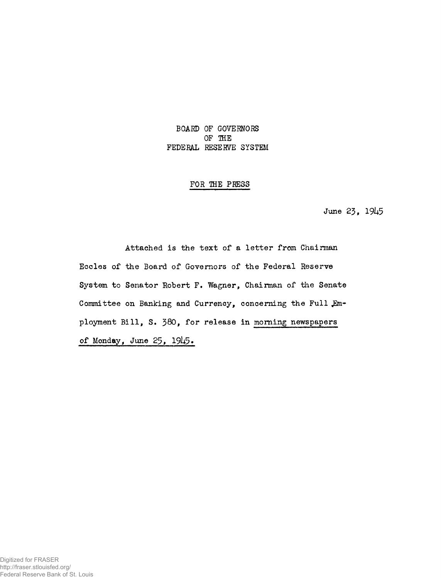## BOARD OF GOVERNORS OF THE FEDERAL RESERVE SYSTEM

## FOR THE PRESS

June 23, *19h5* 

Attached is the text of a letter from Chairman Eccles of the Board of Governors of the Federal Reserve System to Senator Robert F. Wagner, Chairman of the Senate Committee on Banking and Currency, concerning the Full Employment Bill, S. 380, for release in morning newspapers of Monday, June 25, 1945.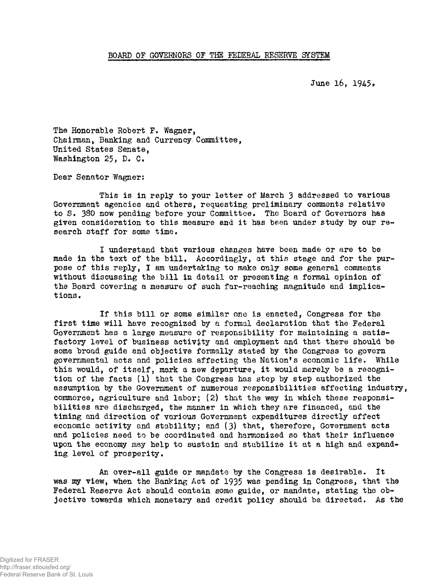June 16, 1945,

The Honorable Robert F. Wagner, Chairman, Banking and Currency. Committee, United States Senate, Washington 25, D. C.

Dear Senator Wagner:

This is in reply to your letter of March 3 addressed to various Government agencies and others, requesting preliminary comments relative to S. 380 now pending before your Committee. The Board of Governors has given consideration to this measure and it has been under study by our research staff for some time.

I understand that various changes have been made or are to be made in the text of the bill. Accordingly, at this stage and for the purpose of this reply, I am undertaking to make only some general comments without discussing the bill in detail or presenting a formal opinion of the Board covering a measure of such far-reaching magnitude and implications.

If this bill or some similar one is enacted, Congress for the first time will have recognized by a formal declaration that the Federal Government has a large measure of responsibility for maintaining a satisfactory level of business activity and employment and that there should be some broad guide and objective formally stated by the Congress to govern governmental acts and policies affecting the Nation's economic life. While this would, of itself, mark a new departure, it would merely be a recognition of the facts (1) that the Congress has step by step authorized the assumption by the Government of numerous responsibilities affecting industry, commerce, agriculture and labor; (2) that the way in which these responsibilities are discharged, the manner in which they are financed, and the timing and direction of various Government expenditures directly affect economic activity and stability; and (3) that, therefore, Government acts and policies need to be coordinated and harmonized so that their influence upon the economy may help to sustain and stabilize it at a high and expanding level of prosperity.

An over-all guide or mandate by the Congress is desirable. It was my view, when the Banking Act of 1935 was pending in Congress, that the Federal Reserve Act should contain some guide, or mandate, stating the objective towards which monetary and credit policy should be. directed. As the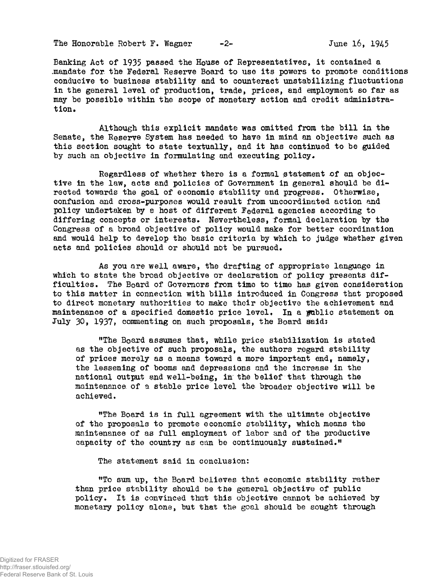The Honorable Robert F. Wagner  $-2$ - June 16, 1945

Banking Act of 1935 passed the House of Representatives, it contained a .mandate for. the Federal Reserve Board to use its powers to promote conditions conducive to business stability and to counteract unstabilizing fluctuations in the general level of production, trade, prices, and employment so far as may be possible within the scope of monetary action and credit administration.

Although this explicit mandate was omitted from the bill in the Senate, the Reserve System has needed to have in mind an objective such as this section sought to state textually, and it has continued to be guided by such an objective in formulating and executing policy.

Regardless of whether there is a formal statement of an objective in the law, acts and policies of Government in general should be directed towards the goal of economic stability and progress. Otherwise, confusion and cross-purposes would result from uncoordinated action and policy undertaken by a host of different Federal agencies according to differing concepts or interests. Nevertheless, formal declaration by the Congress of a broad objective of policy would make for better coordination and would help to develop the basic criteria by which to judge whether given acts and policies should or should not be pursued.

As you are well aware, the drafting of appropriate language in which to state the broad objective or declaration of policy presents difficulties. The Board of Governors from time to time has given consideration to this matter in connection with bills introduced in Congress that proposed to direct monetary authorities to make their objective the achievement and maintenance of a specified domestic price level. In a fublic statement on July 30, 1937, commenting on such proposals, the Board said:

"The Board assumes that, while price stabilization is stated as the objective of such proposals, the authors regard stability of prices merely as a means toward a more important end, namely, the lessening of booms and depressions and the increase in the national output and well-being, in thé belief that through the maintenance of a stable price level the broader objective will be achieved.

"The Board is in full agreement with the ultimate objective of the proposals to promote economic stability, which means the maintenance of as full employment of labor and of the productive capacity of the country as can be continuously sustained."

The statement said in conclusion:

<sup>M</sup>To sum up, the Board believes that economic stability rather than price stability should be the general objective of public policy. It is convinced that this objective cannot be achieved by monetary policy alone, but that the goal should be sought through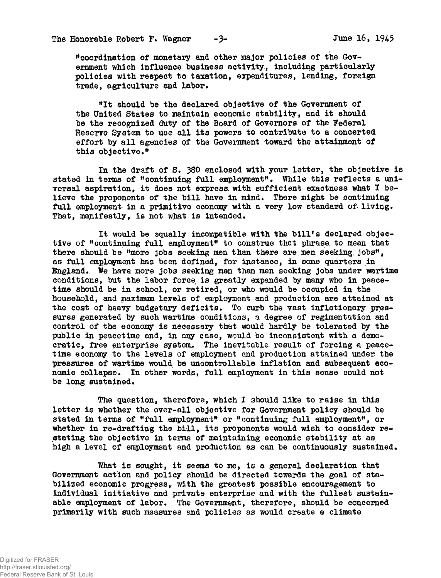••coordination of monetary and other major policies of the Government which influence business activity, including particularly policies with respect to taxation, expenditures, lending, foreign trade, agriculture and labor.

"It should be the declared objective of the Government of the United States to maintain economic stability, and it should be the recognized duty of the Board of Governors of the Federal Reserve System to use all its powers to contribute to a concerted, effort by all agencies of the Government toward the attainment of this objactive ."

In the draft of S. 380 enclosed with your letter, the objective is stated in terms of "continuing full employment". While this reflects a universal aspiration, it does not. express, with sufficient exactness what I believe the proponents of the bill have in mind. There might be continuing full employment in a primitive economy with a very low standard of living. That, manifestly, is not what is intended.

It would be equally incompatible with the bill's declared objective of "continuing full employment" to construe that phrase, to mean that there should be "more jobs seeking men than there are men seeking jobs", as full employment has been defined, for instance, in some quarters in England. We have more jobs seeking men than men seeking jobs under wartime conditions, but the labor force is greatly expanded by many who in peacetime should be in school, or retired, or who would be occupied in the household, and maximum levels of employment and production are attained at the cost of heavy budgetary deficits. To curb the vast inflationary pressures generated by such wartime conditions, a degree of regimentation and control of the economy is necessary that would hardly be tolerated by the public in peacetime and, in any case, would be inconsistent with a democratic, free enterprise system. The inevitable result of forcing a peacetime economy to the levels of employment and production attained under the pressures of wartime would be uncontrollable inflation and subsequent economic collapse. In other words, full employment in this sense could not be long sustained.

The question, therefore, which I should like to raise in this letter is whether the over-all objective for Government policy should be stated in terms of "full employment" or "continuing full employment", or whether in re-drafting the bill, its proponents would wish to consider restating the objective in terms of maintaining economic stability at as high a level of employment and production as can be continuously sustained.

What is sought, it seems to me, is a general declaration that Government action and policy should be directed towards the goal of stabilized economic progress, with the greatest possible encouragement to individual initiative and private enterprise and with the fullest sustainable employment of labor. The Government, therefore, should be concerned primarily with such measures and policies as would create a climate